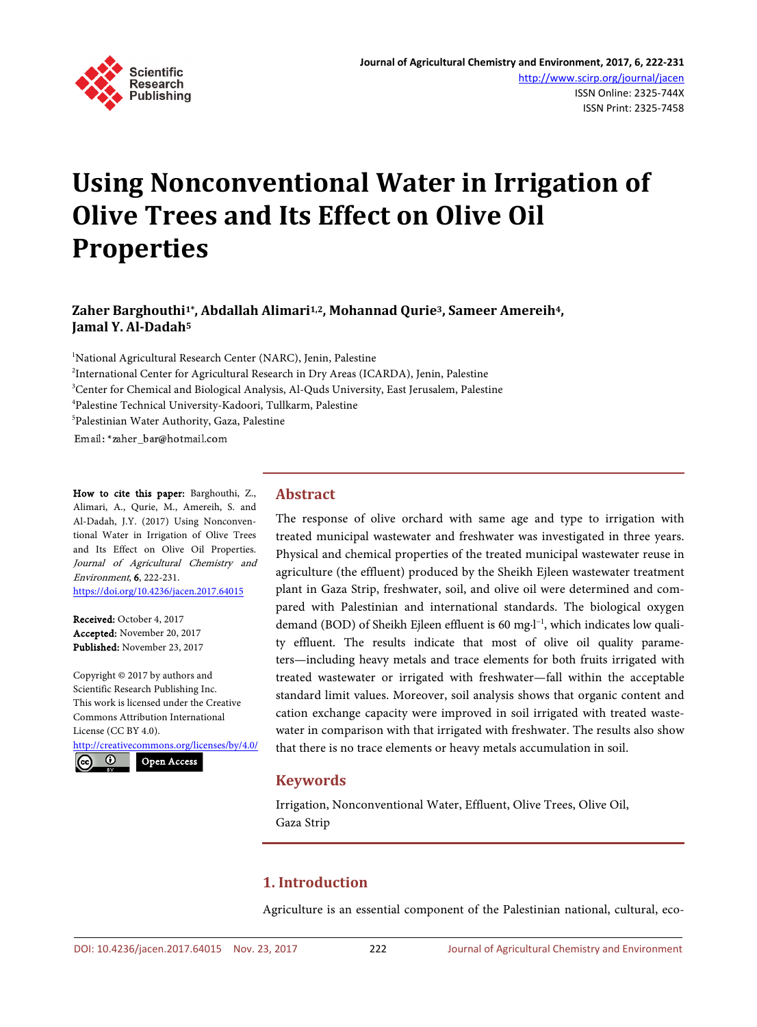

# **Using Nonconventional Water in Irrigation of Olive Trees and Its Effect on Olive Oil Properties**

# **Zaher Barghouthi1\*, Abdallah Alimari1,2, Mohannad Qurie3, Sameer Amereih4, Jamal Y. Al-Dadah5**

<sup>1</sup>National Agricultural Research Center (NARC), Jenin, Palestine <sup>2</sup>International Center for Agricultural Research in Dry Areas (ICARDA), Jenin, Palestine <sup>3</sup>Center for Chemical and Biological Analysis, Al-Quds University, East Jerusalem, Palestine 4 Palestine Technical University-Kadoori, Tullkarm, Palestine 5 Palestinian Water Authority, Gaza, Palestine Email: \*zaher bar@hotmail.com

How to cite this paper: Barghouthi, Z., Alimari, A., Qurie, M., Amereih, S. and Al-Dadah, J.Y. (2017) Using Nonconventional Water in Irrigation of Olive Trees and Its Effect on Olive Oil Properties. Journal of Agricultural Chemistry and Environment, 6, 222-231. <https://doi.org/10.4236/jacen.2017.64015>

Received: October 4, 2017 Accepted: November 20, 2017 Published: November 23, 2017

Copyright © 2017 by authors and Scientific Research Publishing Inc. This work is licensed under the Creative Commons Attribution International License (CC BY 4.0).

<http://creativecommons.org/licenses/by/4.0/>

Open Access $\boldsymbol{\omega}$ 

## **Abstract**

The response of olive orchard with same age and type to irrigation with treated municipal wastewater and freshwater was investigated in three years. Physical and chemical properties of the treated municipal wastewater reuse in agriculture (the effluent) produced by the Sheikh Ejleen wastewater treatment plant in Gaza Strip, freshwater, soil, and olive oil were determined and compared with Palestinian and international standards. The biological oxygen demand (BOD) of Sheikh Ejleen effluent is 60 mg⋅l<sup>-1</sup>, which indicates low quality effluent. The results indicate that most of olive oil quality parameters—including heavy metals and trace elements for both fruits irrigated with treated wastewater or irrigated with freshwater—fall within the acceptable standard limit values. Moreover, soil analysis shows that organic content and cation exchange capacity were improved in soil irrigated with treated wastewater in comparison with that irrigated with freshwater. The results also show that there is no trace elements or heavy metals accumulation in soil.

# **Keywords**

Irrigation, Nonconventional Water, Effluent, Olive Trees, Olive Oil, Gaza Strip

# **1. Introduction**

Agriculture is an essential component of the Palestinian national, cultural, eco-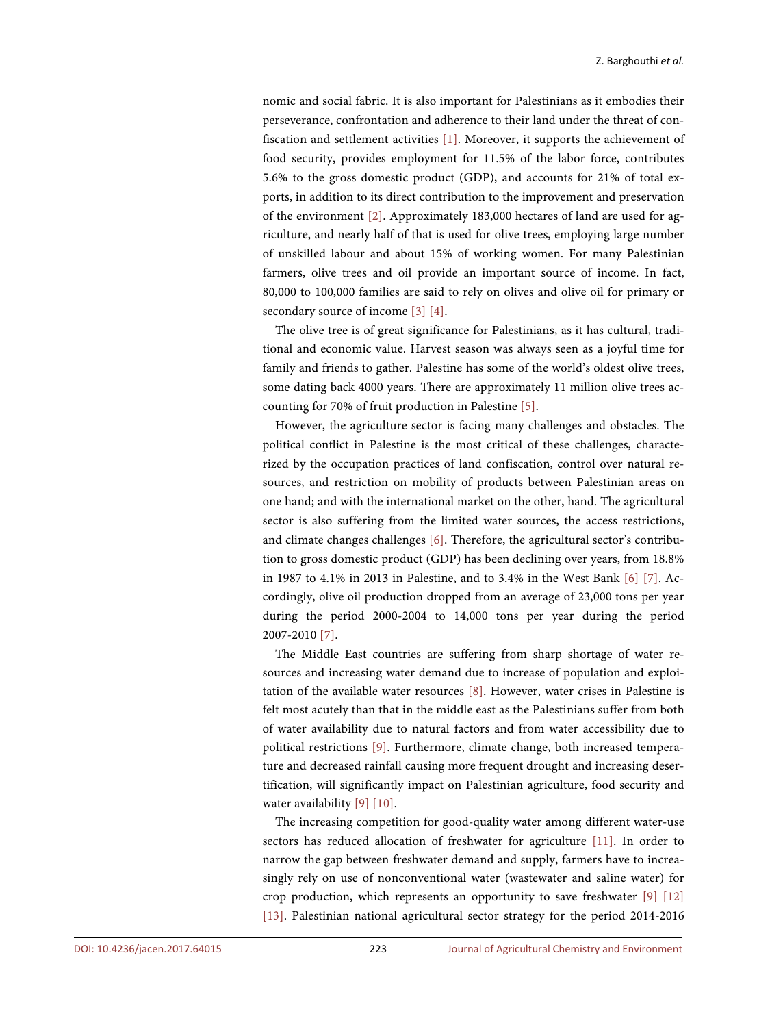nomic and social fabric. It is also important for Palestinians as it embodies their perseverance, confrontation and adherence to their land under the threat of confiscation and settlement activities [\[1\].](#page-8-0) Moreover, it supports the achievement of food security, provides employment for 11.5% of the labor force, contributes 5.6% to the gross domestic product (GDP), and accounts for 21% of total exports, in addition to its direct contribution to the improvement and preservation of the environment [\[2\].](#page-8-1) Approximately 183,000 hectares of land are used for agriculture, and nearly half of that is used for olive trees, employing large number of unskilled labour and about 15% of working women. For many Palestinian farmers, olive trees and oil provide an important source of income. In fact, 80,000 to 100,000 families are said to rely on olives and olive oil for primary or secondary source of income [\[3\]](#page-8-2) [\[4\].](#page-8-3)

The olive tree is of great significance for Palestinians, as it has cultural, traditional and economic value. Harvest season was always seen as a joyful time for family and friends to gather. Palestine has some of the world's oldest olive trees, some dating back 4000 years. There are approximately 11 million olive trees accounting for 70% of fruit production in Palestine [\[5\].](#page-8-4)

However, the agriculture sector is facing many challenges and obstacles. The political conflict in Palestine is the most critical of these challenges, characterized by the occupation practices of land confiscation, control over natural resources, and restriction on mobility of products between Palestinian areas on one hand; and with the international market on the other, hand. The agricultural sector is also suffering from the limited water sources, the access restrictions, and climate changes challenges [\[6\].](#page-8-5) Therefore, the agricultural sector's contribution to gross domestic product (GDP) has been declining over years, from 18.8% in 1987 to 4.1% in 2013 in Palestine, and to 3.4% in the West Bank [\[6\]](#page-8-5) [\[7\].](#page-8-6) Accordingly, olive oil production dropped from an average of 23,000 tons per year during the period 2000-2004 to 14,000 tons per year during the period 2007-201[0 \[7\].](#page-8-6)

The Middle East countries are suffering from sharp shortage of water resources and increasing water demand due to increase of population and exploitation of the available water resources [\[8\].](#page-8-7) However, water crises in Palestine is felt most acutely than that in the middle east as the Palestinians suffer from both of water availability due to natural factors and from water accessibility due to political restrictions [\[9\].](#page-8-8) Furthermore, climate change, both increased temperature and decreased rainfall causing more frequent drought and increasing desertification, will significantly impact on Palestinian agriculture, food security and water availability [\[9\]](#page-8-8) [\[10\].](#page-8-9)

The increasing competition for good-quality water among different water-use sectors has reduced allocation of freshwater for agriculture [\[11\].](#page-8-10) In order to narrow the gap between freshwater demand and supply, farmers have to increasingly rely on use of nonconventional water (wastewater and saline water) for crop production, which represents an opportunity to save freshwater [\[9\]](#page-8-8) [\[12\]](#page-8-11) [\[13\].](#page-9-0) Palestinian national agricultural sector strategy for the period 2014-2016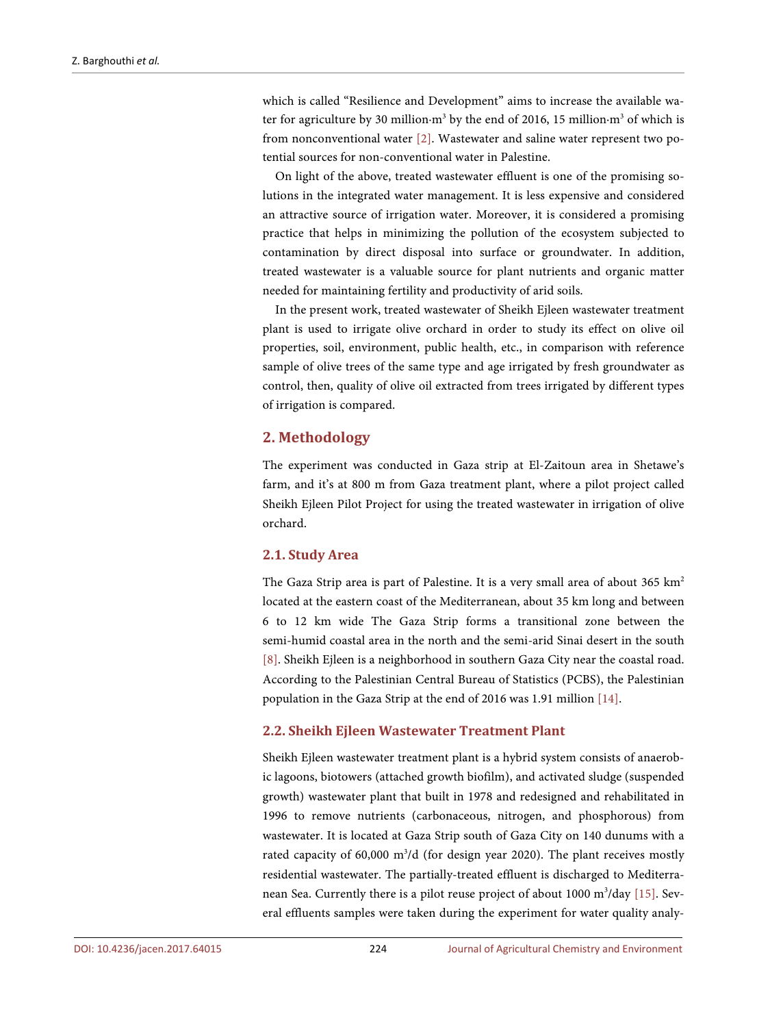which is called "Resilience and Development" aims to increase the available water for agriculture by 30 million⋅m<sup>3</sup> by the end of 2016, 15 million⋅m<sup>3</sup> of which is from nonconventional water [\[2\].](#page-8-1) Wastewater and saline water represent two potential sources for non-conventional water in Palestine.

On light of the above, treated wastewater effluent is one of the promising solutions in the integrated water management. It is less expensive and considered an attractive source of irrigation water. Moreover, it is considered a promising practice that helps in minimizing the pollution of the ecosystem subjected to contamination by direct disposal into surface or groundwater. In addition, treated wastewater is a valuable source for plant nutrients and organic matter needed for maintaining fertility and productivity of arid soils.

In the present work, treated wastewater of Sheikh Ejleen wastewater treatment plant is used to irrigate olive orchard in order to study its effect on olive oil properties, soil, environment, public health, etc., in comparison with reference sample of olive trees of the same type and age irrigated by fresh groundwater as control, then, quality of olive oil extracted from trees irrigated by different types of irrigation is compared.

## **2. Methodology**

The experiment was conducted in Gaza strip at El-Zaitoun area in Shetawe's farm, and it's at 800 m from Gaza treatment plant, where a pilot project called Sheikh Ejleen Pilot Project for using the treated wastewater in irrigation of olive orchard.

#### **2.1. Study Area**

The Gaza Strip area is part of Palestine. It is a very small area of about 365 km<sup>2</sup> located at the eastern coast of the Mediterranean, about 35 km long and between 6 to 12 km wide The Gaza Strip forms a transitional zone between the semi-humid coastal area in the north and the semi-arid Sinai desert in the south [\[8\].](#page-8-7) Sheikh Ejleen is a neighborhood in southern Gaza City near the coastal road. According to the Palestinian Central Bureau of Statistics (PCBS), the Palestinian population in the Gaza Strip at the end of 2016 was 1.91 million [\[14\].](#page-9-1)

#### **2.2. Sheikh Ejleen Wastewater Treatment Plant**

Sheikh Ejleen wastewater treatment plant is a hybrid system consists of anaerobic lagoons, biotowers (attached growth biofilm), and activated sludge (suspended growth) wastewater plant that built in 1978 and redesigned and rehabilitated in 1996 to remove nutrients (carbonaceous, nitrogen, and phosphorous) from wastewater. It is located at Gaza Strip south of Gaza City on 140 dunums with a rated capacity of 60,000 m<sup>3</sup>/d (for design year 2020). The plant receives mostly residential wastewater. The partially-treated effluent is discharged to Mediterra-nean Sea. Currently there is a pilot reuse project of about 1000 m<sup>3</sup>/day [\[15\].](#page-9-2) Several effluents samples were taken during the experiment for water quality analy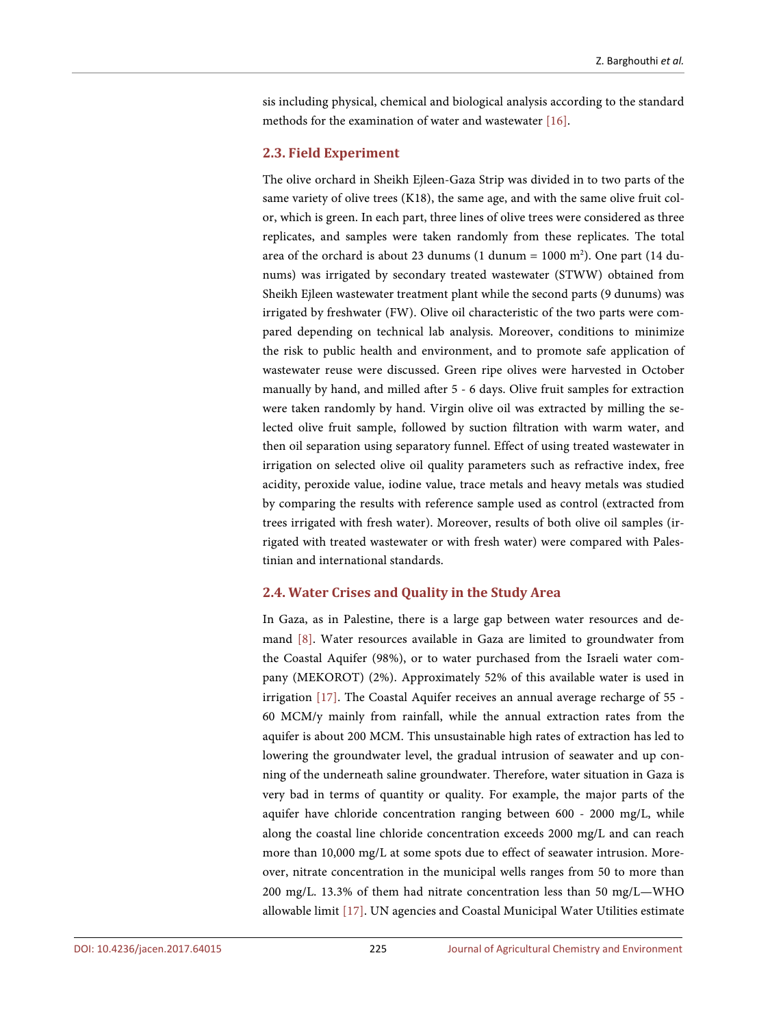sis including physical, chemical and biological analysis according to the standard methods for the examination of water and wastewate[r \[16\].](#page-9-3)

#### **2.3. Field Experiment**

The olive orchard in Sheikh Ejleen-Gaza Strip was divided in to two parts of the same variety of olive trees (K18), the same age, and with the same olive fruit color, which is green. In each part, three lines of olive trees were considered as three replicates, and samples were taken randomly from these replicates. The total area of the orchard is about 23 dunums (1 dunum =  $1000$  m<sup>2</sup>). One part (14 dunums) was irrigated by secondary treated wastewater (STWW) obtained from Sheikh Ejleen wastewater treatment plant while the second parts (9 dunums) was irrigated by freshwater (FW). Olive oil characteristic of the two parts were compared depending on technical lab analysis. Moreover, conditions to minimize the risk to public health and environment, and to promote safe application of wastewater reuse were discussed. Green ripe olives were harvested in October manually by hand, and milled after 5 - 6 days. Olive fruit samples for extraction were taken randomly by hand. Virgin olive oil was extracted by milling the selected olive fruit sample, followed by suction filtration with warm water, and then oil separation using separatory funnel. Effect of using treated wastewater in irrigation on selected olive oil quality parameters such as refractive index, free acidity, peroxide value, iodine value, trace metals and heavy metals was studied by comparing the results with reference sample used as control (extracted from trees irrigated with fresh water). Moreover, results of both olive oil samples (irrigated with treated wastewater or with fresh water) were compared with Palestinian and international standards.

#### **2.4. Water Crises and Quality in the Study Area**

In Gaza, as in Palestine, there is a large gap between water resources and demand [\[8\].](#page-8-7) Water resources available in Gaza are limited to groundwater from the Coastal Aquifer (98%), or to water purchased from the Israeli water company (MEKOROT) (2%). Approximately 52% of this available water is used in irrigation [\[17\].](#page-9-4) The Coastal Aquifer receives an annual average recharge of 55 - 60 MCM/y mainly from rainfall, while the annual extraction rates from the aquifer is about 200 MCM. This unsustainable high rates of extraction has led to lowering the groundwater level, the gradual intrusion of seawater and up conning of the underneath saline groundwater. Therefore, water situation in Gaza is very bad in terms of quantity or quality. For example, the major parts of the aquifer have chloride concentration ranging between 600 - 2000 mg/L, while along the coastal line chloride concentration exceeds 2000 mg/L and can reach more than 10,000 mg/L at some spots due to effect of seawater intrusion. Moreover, nitrate concentration in the municipal wells ranges from 50 to more than 200 mg/L. 13.3% of them had nitrate concentration less than 50 mg/L—WHO allowable limit [\[17\].](#page-9-4) UN agencies and Coastal Municipal Water Utilities estimate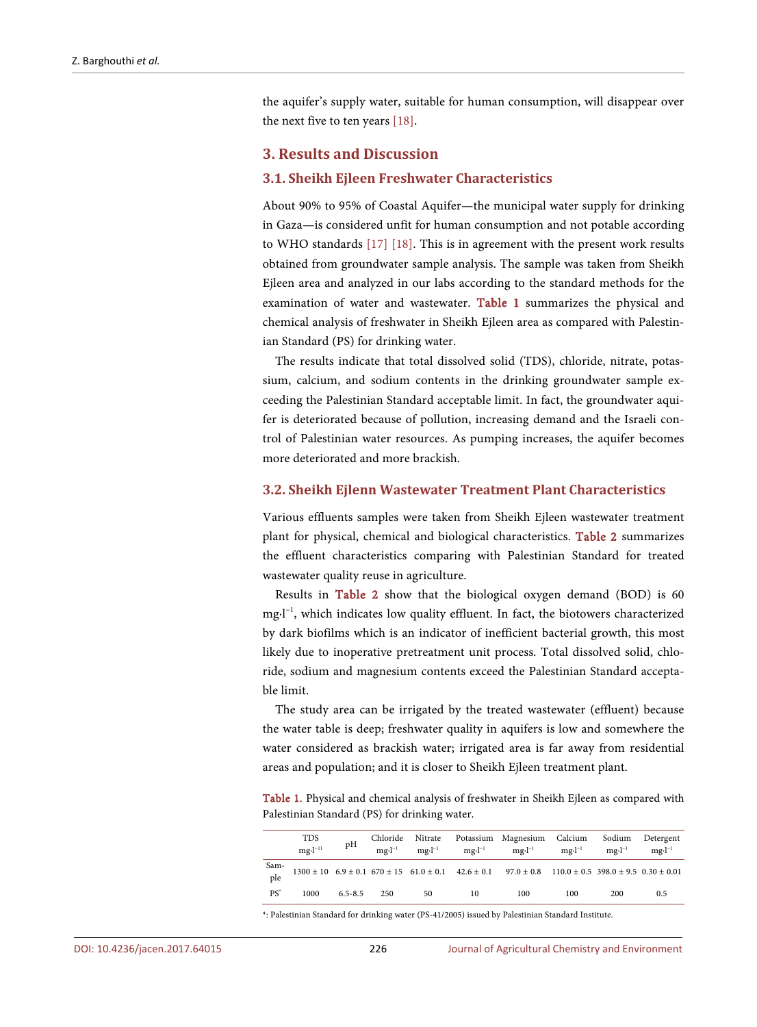the aquifer's supply water, suitable for human consumption, will disappear over the next five to ten years [\[18\].](#page-9-5)

#### **3. Results and Discussion**

#### **3.1. Sheikh Ejleen Freshwater Characteristics**

About 90% to 95% of Coastal Aquifer—the municipal water supply for drinking in Gaza—is considered unfit for human consumption and not potable according to WHO standards [\[17\]](#page-9-4) [\[18\].](#page-9-5) This is in agreement with the present work results obtained from groundwater sample analysis. The sample was taken from Sheikh Ejleen area and analyzed in our labs according to the standard methods for the examination of water and wastewater. [Table 1](#page-4-0) summarizes the physical and chemical analysis of freshwater in Sheikh Ejleen area as compared with Palestinian Standard (PS) for drinking water.

The results indicate that total dissolved solid (TDS), chloride, nitrate, potassium, calcium, and sodium contents in the drinking groundwater sample exceeding the Palestinian Standard acceptable limit. In fact, the groundwater aquifer is deteriorated because of pollution, increasing demand and the Israeli control of Palestinian water resources. As pumping increases, the aquifer becomes more deteriorated and more brackish.

#### **3.2. Sheikh Ejlenn Wastewater Treatment Plant Characteristics**

Various effluents samples were taken from Sheikh Ejleen wastewater treatment plant for physical, chemical and biological characteristics. [Table 2](#page-5-0) summarizes the effluent characteristics comparing with Palestinian Standard for treated wastewater quality reuse in agriculture.

Results in [Table 2](#page-5-0) show that the biological oxygen demand (BOD) is 60 mg∙l−1 , which indicates low quality effluent. In fact, the biotowers characterized by dark biofilms which is an indicator of inefficient bacterial growth, this most likely due to inoperative pretreatment unit process. Total dissolved solid, chloride, sodium and magnesium contents exceed the Palestinian Standard acceptable limit.

The study area can be irrigated by the treated wastewater (effluent) because the water table is deep; freshwater quality in aquifers is low and somewhere the water considered as brackish water; irrigated area is far away from residential areas and population; and it is closer to Sheikh Ejleen treatment plant.

<span id="page-4-0"></span>Table 1. Physical and chemical analysis of freshwater in Sheikh Ejleen as compared with Palestinian Standard (PS) for drinking water.

|                 | <b>TDS</b><br>$mg·l^{-11}$ | pH          |     |    |    | Chloride Nitrate Potassium Magnesium Calcium Sodium Detergent<br>$mg \cdot l^{-1}$ mg $\cdot l^{-1}$ mg $\cdot l^{-1}$ mg $\cdot l^{-1}$ mg $\cdot l^{-1}$                  |     | $mg·l^{-1}$ | $mg·l^{-1}$ |
|-----------------|----------------------------|-------------|-----|----|----|-----------------------------------------------------------------------------------------------------------------------------------------------------------------------------|-----|-------------|-------------|
| Sam-<br>ple     |                            |             |     |    |    | $1300 \pm 10 \quad 6.9 \pm 0.1 \quad 670 \pm 15 \quad 61.0 \pm 0.1 \quad \ 42.6 \pm 0.1 \quad \ 97.0 \pm 0.8 \quad \ 110.0 \pm 0.5 \quad 398.0 \pm 9.5 \quad 0.30 \pm 0.01$ |     |             |             |
| PS <sup>*</sup> | 1000                       | $6.5 - 8.5$ | 250 | 50 | 10 | 100                                                                                                                                                                         | 100 | 200         | 0.5         |

\*: Palestinian Standard for drinking water (PS-41/2005) issued by Palestinian Standard Institute.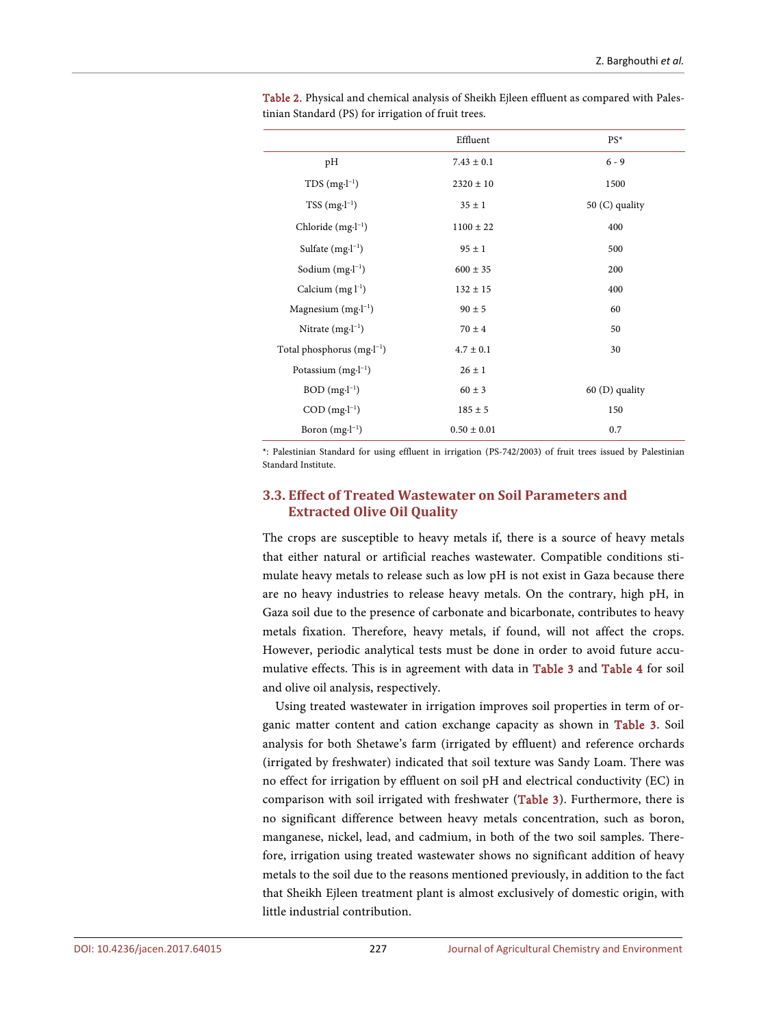|                                | Effluent        | $PS*$            |
|--------------------------------|-----------------|------------------|
| pH                             | $7.43 \pm 0.1$  | $6 - 9$          |
| $TDS$ (mg $-I^{-1}$ )          | $2320 \pm 10$   | 1500             |
| $TSS (mg·l-1)$                 | $35 \pm 1$      | 50 (C) quality   |
| Chloride $(mg·l-1)$            | $1100 \pm 22$   | 400              |
| Sulfate $(mg·l-1)$             | $95 \pm 1$      | 500              |
| Sodium $(mg·l-1)$              | $600 \pm 35$    | 200              |
| Calcium $(mg l^{-1})$          | $132 \pm 15$    | 400              |
| Magnesium $(mg·l-1)$           | $90 \pm 5$      | 60               |
| Nitrate $(mg·l-1)$             | $70 \pm 4$      | 50               |
| Total phosphorus $(mg·l^{-1})$ | $4.7 \pm 0.1$   | 30               |
| Potassium $(mg·l^{-1})$        | $26 \pm 1$      |                  |
| $BOD$ (mg $\cdot l^{-1}$ )     | $60 \pm 3$      | $60$ (D) quality |
| $COD$ (mg $\cdot l^{-1}$ )     | $185 \pm 5$     | 150              |
| Boron $(mg·l^{-1})$            | $0.50 \pm 0.01$ | 0.7              |

<span id="page-5-0"></span>Table 2. Physical and chemical analysis of Sheikh Ejleen effluent as compared with Palestinian Standard (PS) for irrigation of fruit trees.

\*: Palestinian Standard for using effluent in irrigation (PS-742/2003) of fruit trees issued by Palestinian Standard Institute.

## **3.3. Effect of Treated Wastewater on Soil Parameters and Extracted Olive Oil Quality**

The crops are susceptible to heavy metals if, there is a source of heavy metals that either natural or artificial reaches wastewater. Compatible conditions stimulate heavy metals to release such as low pH is not exist in Gaza because there are no heavy industries to release heavy metals. On the contrary, high pH, in Gaza soil due to the presence of carbonate and bicarbonate, contributes to heavy metals fixation. Therefore, heavy metals, if found, will not affect the crops. However, periodic analytical tests must be done in order to avoid future accumulative effects. This is in agreement with data in [Table 3](#page-6-0) and [Table 4](#page-6-1) for soil and olive oil analysis, respectively.

Using treated wastewater in irrigation improves soil properties in term of organic matter content and cation exchange capacity as shown in [Table 3.](#page-6-0) Soil analysis for both Shetawe's farm (irrigated by effluent) and reference orchards (irrigated by freshwater) indicated that soil texture was Sandy Loam. There was no effect for irrigation by effluent on soil pH and electrical conductivity (EC) in comparison with soil irrigated with freshwater [\(Table 3\)](#page-6-0). Furthermore, there is no significant difference between heavy metals concentration, such as boron, manganese, nickel, lead, and cadmium, in both of the two soil samples. Therefore, irrigation using treated wastewater shows no significant addition of heavy metals to the soil due to the reasons mentioned previously, in addition to the fact that Sheikh Ejleen treatment plant is almost exclusively of domestic origin, with little industrial contribution.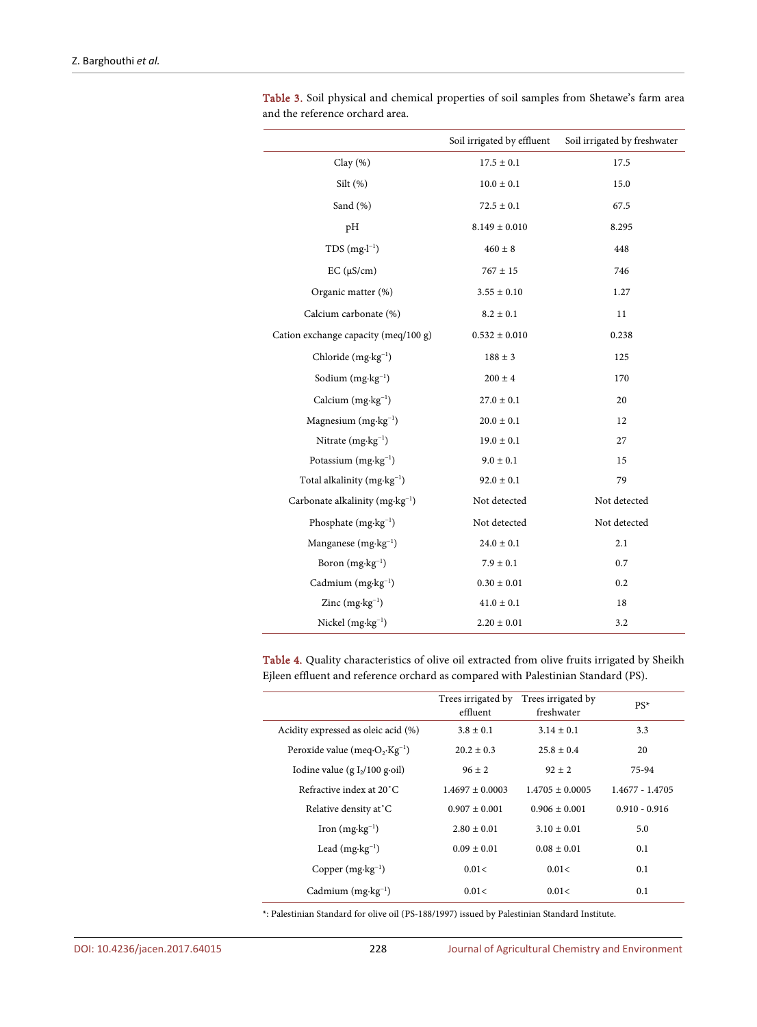|                                             | Soil irrigated by effluent | Soil irrigated by freshwater |
|---------------------------------------------|----------------------------|------------------------------|
| Clay $(%)$                                  | $17.5 \pm 0.1$             | 17.5                         |
| Silt $(\%)$                                 | $10.0 \pm 0.1$             | 15.0                         |
| Sand (%)                                    | $72.5 \pm 0.1$             | 67.5                         |
| pH                                          | $8.149 \pm 0.010$          | 8.295                        |
| $TDS(mg·l^{-1})$                            | $460 \pm 8$                | 448                          |
| $EC (\mu S/cm)$                             | $767 \pm 15$               | 746                          |
| Organic matter (%)                          | $3.55 \pm 0.10$            | 1.27                         |
| Calcium carbonate (%)                       | $8.2 \pm 0.1$              | 11                           |
| Cation exchange capacity (meq/100 g)        | $0.532 \pm 0.010$          | 0.238                        |
| Chloride (mg·kg <sup>-1</sup> )             | $188 \pm 3$                | 125                          |
| Sodium $(mg \cdot kg^{-1})$                 | $200 \pm 4$                | 170                          |
| Calcium (mg·kg <sup>-1</sup> )              | $27.0 \pm 0.1$             | 20                           |
| Magnesium $(mg \cdot kg^{-1})$              | $20.0 \pm 0.1$             | 12                           |
| Nitrate $(mg \cdot kg^{-1})$                | $19.0 \pm 0.1$             | 27                           |
| Potassium $(mg \cdot kg^{-1})$              | $9.0 \pm 0.1$              | 15                           |
| Total alkalinity (mg·kg <sup>-1</sup> )     | $92.0 \pm 0.1$             | 79                           |
| Carbonate alkalinity ( $mg \cdot kg^{-1}$ ) | Not detected               | Not detected                 |
| Phosphate $(mg \cdot kg^{-1})$              | Not detected               | Not detected                 |
| Manganese $(mg \cdot kg^{-1})$              | $24.0 \pm 0.1$             | 2.1                          |
| Boron $(mg \cdot kg^{-1})$                  | $7.9 \pm 0.1$              | 0.7                          |
| Cadmium (mg·kg <sup>-1</sup> )              | $0.30 \pm 0.01$            | 0.2                          |
| Zinc $(mg \cdot kg^{-1})$                   | $41.0 \pm 0.1$             | 18                           |
| Nickel $(mg \cdot kg^{-1})$                 | $2.20 \pm 0.01$            | 3.2                          |

<span id="page-6-0"></span>Table 3. Soil physical and chemical properties of soil samples from Shetawe's farm area and the reference orchard area.

<span id="page-6-1"></span>Table 4. Quality characteristics of olive oil extracted from olive fruits irrigated by Sheikh Ejleen effluent and reference orchard as compared with Palestinian Standard (PS).

|                                                                       | Trees irrigated by Trees irrigated by<br>effluent | freshwater          | $PS^*$          |
|-----------------------------------------------------------------------|---------------------------------------------------|---------------------|-----------------|
| Acidity expressed as oleic acid (%)                                   | $3.8 \pm 0.1$                                     | $3.14 \pm 0.1$      | 3.3             |
| Peroxide value (meq $\cdot$ O <sub>2</sub> $\cdot$ Kg <sup>-1</sup> ) | $20.2 \pm 0.3$                                    | $25.8 \pm 0.4$      | 20              |
| Iodine value (g $I_2/100$ g-oil)                                      | $96 \pm 2$                                        | $92 + 2$            | 75-94           |
| Refractive index at 20°C.                                             | $1.4697 \pm 0.0003$                               | $1.4705 \pm 0.0005$ | 1.4677 - 1.4705 |
| Relative density at °C                                                | $0.907 \pm 0.001$                                 | $0.906 \pm 0.001$   | $0.910 - 0.916$ |
| Iron $(mg \cdot kg^{-1})$                                             | $2.80 \pm 0.01$                                   | $3.10 \pm 0.01$     | 5.0             |
| Lead $(mg \cdot kg^{-1})$                                             | $0.09 \pm 0.01$                                   | $0.08 \pm 0.01$     | 0.1             |
| Copper $(mg \cdot kg^{-1})$                                           | 0.01<                                             | 0.01<               | 0.1             |
| Cadmium $(mg \cdot kg^{-1})$                                          | 0.01<                                             | 0.01<               | 0.1             |

\*: Palestinian Standard for olive oil (PS-188/1997) issued by Palestinian Standard Institute.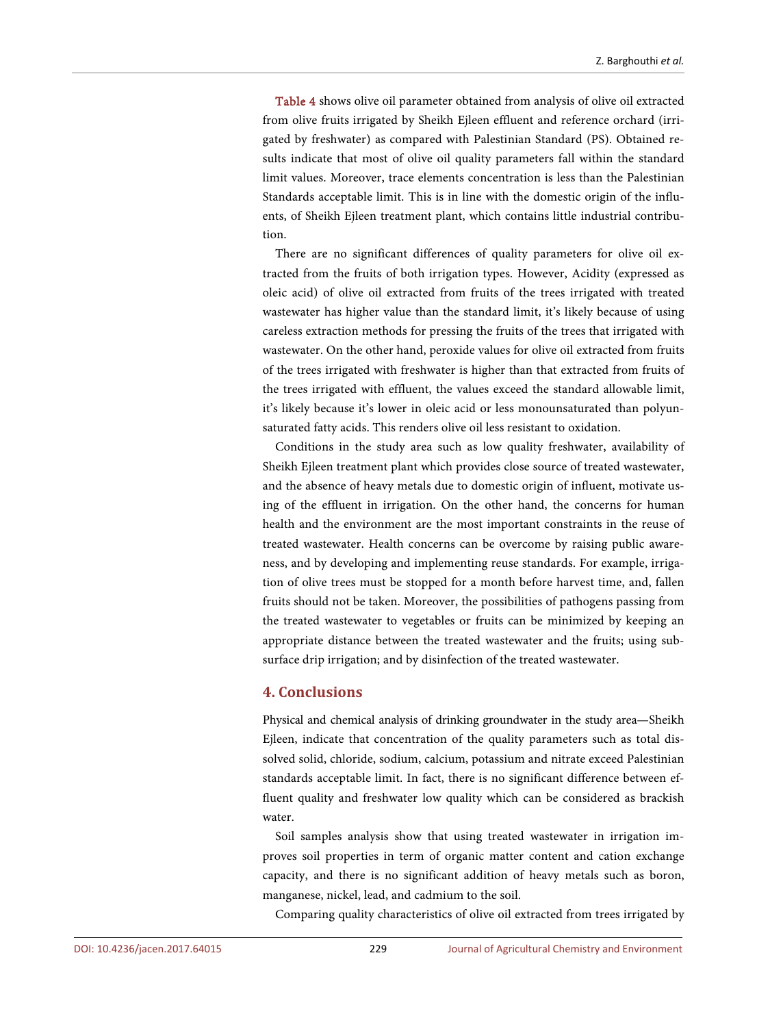[Table 4](#page-6-1) shows olive oil parameter obtained from analysis of olive oil extracted from olive fruits irrigated by Sheikh Ejleen effluent and reference orchard (irrigated by freshwater) as compared with Palestinian Standard (PS). Obtained results indicate that most of olive oil quality parameters fall within the standard limit values. Moreover, trace elements concentration is less than the Palestinian Standards acceptable limit. This is in line with the domestic origin of the influents, of Sheikh Ejleen treatment plant, which contains little industrial contribution.

There are no significant differences of quality parameters for olive oil extracted from the fruits of both irrigation types. However, Acidity (expressed as oleic acid) of olive oil extracted from fruits of the trees irrigated with treated wastewater has higher value than the standard limit, it's likely because of using careless extraction methods for pressing the fruits of the trees that irrigated with wastewater. On the other hand, peroxide values for olive oil extracted from fruits of the trees irrigated with freshwater is higher than that extracted from fruits of the trees irrigated with effluent, the values exceed the standard allowable limit, it's likely because it's lower in oleic acid or less monounsaturated than polyunsaturated fatty acids. This renders olive oil less resistant to oxidation.

Conditions in the study area such as low quality freshwater, availability of Sheikh Ejleen treatment plant which provides close source of treated wastewater, and the absence of heavy metals due to domestic origin of influent, motivate using of the effluent in irrigation. On the other hand, the concerns for human health and the environment are the most important constraints in the reuse of treated wastewater. Health concerns can be overcome by raising public awareness, and by developing and implementing reuse standards. For example, irrigation of olive trees must be stopped for a month before harvest time, and, fallen fruits should not be taken. Moreover, the possibilities of pathogens passing from the treated wastewater to vegetables or fruits can be minimized by keeping an appropriate distance between the treated wastewater and the fruits; using subsurface drip irrigation; and by disinfection of the treated wastewater.

## **4. Conclusions**

Physical and chemical analysis of drinking groundwater in the study area—Sheikh Ejleen, indicate that concentration of the quality parameters such as total dissolved solid, chloride, sodium, calcium, potassium and nitrate exceed Palestinian standards acceptable limit. In fact, there is no significant difference between effluent quality and freshwater low quality which can be considered as brackish water.

Soil samples analysis show that using treated wastewater in irrigation improves soil properties in term of organic matter content and cation exchange capacity, and there is no significant addition of heavy metals such as boron, manganese, nickel, lead, and cadmium to the soil.

Comparing quality characteristics of olive oil extracted from trees irrigated by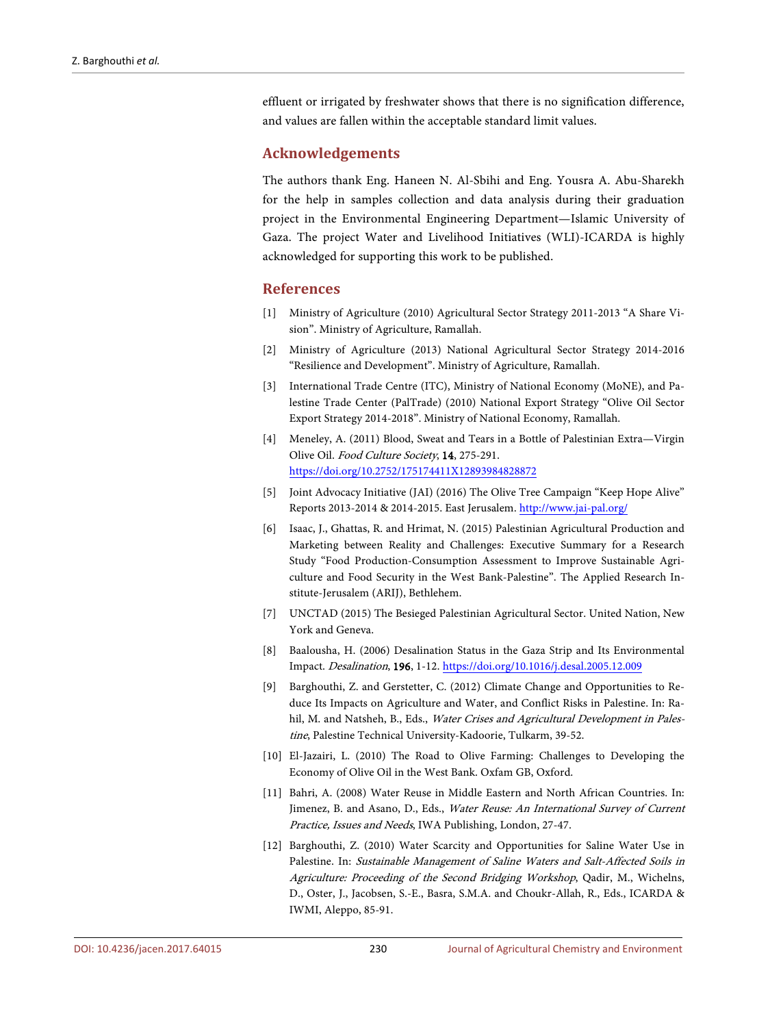effluent or irrigated by freshwater shows that there is no signification difference, and values are fallen within the acceptable standard limit values.

#### **Acknowledgements**

The authors thank Eng. Haneen N. Al-Sbihi and Eng. Yousra A. Abu-Sharekh for the help in samples collection and data analysis during their graduation project in the Environmental Engineering Department—Islamic University of Gaza. The project Water and Livelihood Initiatives (WLI)-ICARDA is highly acknowledged for supporting this work to be published.

#### **References**

- <span id="page-8-0"></span>[1] Ministry of Agriculture (2010) Agricultural Sector Strategy 2011-2013 "A Share Vision". Ministry of Agriculture, Ramallah.
- <span id="page-8-1"></span>[2] Ministry of Agriculture (2013) National Agricultural Sector Strategy 2014-2016 "Resilience and Development". Ministry of Agriculture, Ramallah.
- <span id="page-8-2"></span>[3] International Trade Centre (ITC), Ministry of National Economy (MoNE), and Palestine Trade Center (PalTrade) (2010) National Export Strategy "Olive Oil Sector Export Strategy 2014-2018". Ministry of National Economy, Ramallah.
- <span id="page-8-3"></span>[4] Meneley, A. (2011) Blood, Sweat and Tears in a Bottle of Palestinian Extra—Virgin Olive Oil. Food Culture Society, 14, 275-291. <https://doi.org/10.2752/175174411X12893984828872>
- <span id="page-8-4"></span>[5] Joint Advocacy Initiative (JAI) (2016) The Olive Tree Campaign "Keep Hope Alive" Reports 2013-2014 & 2014-2015. East Jerusalem[. http://www.jai-pal.org/](http://www.jai-pal.org/)
- <span id="page-8-5"></span>[6] Isaac, J., Ghattas, R. and Hrimat, N. (2015) Palestinian Agricultural Production and Marketing between Reality and Challenges: Executive Summary for a Research Study "Food Production-Consumption Assessment to Improve Sustainable Agriculture and Food Security in the West Bank-Palestine". The Applied Research Institute-Jerusalem (ARIJ), Bethlehem.
- <span id="page-8-6"></span>[7] UNCTAD (2015) The Besieged Palestinian Agricultural Sector. United Nation, New York and Geneva.
- <span id="page-8-7"></span>[8] Baalousha, H. (2006) Desalination Status in the Gaza Strip and Its Environmental Impact. Desalination, 196, 1-12. <https://doi.org/10.1016/j.desal.2005.12.009>
- <span id="page-8-8"></span>[9] Barghouthi, Z. and Gerstetter, C. (2012) Climate Change and Opportunities to Reduce Its Impacts on Agriculture and Water, and Conflict Risks in Palestine. In: Rahil, M. and Natsheh, B., Eds., Water Crises and Agricultural Development in Palestine, Palestine Technical University-Kadoorie, Tulkarm, 39-52.
- <span id="page-8-9"></span>[10] El-Jazairi, L. (2010) The Road to Olive Farming: Challenges to Developing the Economy of Olive Oil in the West Bank. Oxfam GB, Oxford.
- <span id="page-8-10"></span>[11] Bahri, A. (2008) Water Reuse in Middle Eastern and North African Countries. In: Jimenez, B. and Asano, D., Eds., Water Reuse: An International Survey of Current Practice, Issues and Needs, IWA Publishing, London, 27-47.
- <span id="page-8-11"></span>[12] Barghouthi, Z. (2010) Water Scarcity and Opportunities for Saline Water Use in Palestine. In: Sustainable Management of Saline Waters and Salt-Affected Soils in Agriculture: Proceeding of the Second Bridging Workshop, Qadir, M., Wichelns, D., Oster, J., Jacobsen, S.-E., Basra, S.M.A. and Choukr-Allah, R., Eds., ICARDA & IWMI, Aleppo, 85-91.